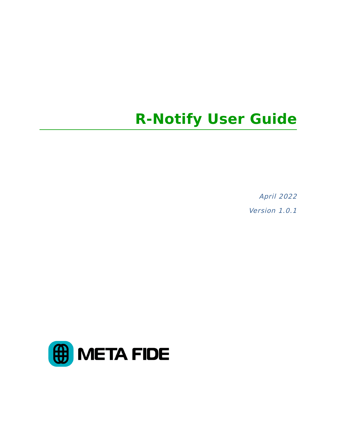April 2022 Version 1.0.1

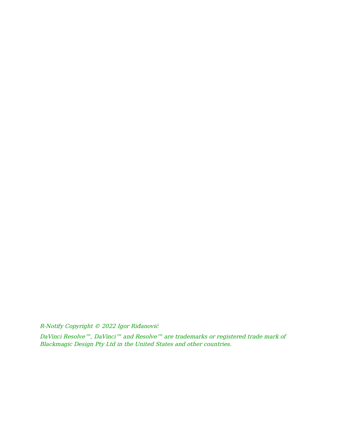R-Notify Copyright © 2022 Igor Riđanović

DaVinci Resolve™, DaVinci™ and Resolve™ are trademarks or registered trade mark of Blackmagic Design Pty Ltd in the United States and other countries.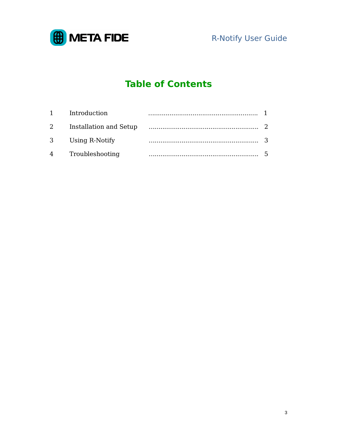

# **Table of Contents**

| Introduction             |  |
|--------------------------|--|
| 2 Installation and Setup |  |
| 3 Using R-Notify         |  |
| 4 Troubleshooting        |  |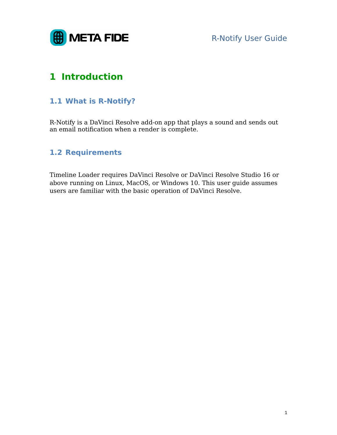

# **1 Introduction**

### **1.1 What is R-Notify?**

R-Notify is a DaVinci Resolve add-on app that plays a sound and sends out an email notification when a render is complete.

### **1.2 Requirements**

Timeline Loader requires DaVinci Resolve or DaVinci Resolve Studio 16 or above running on Linux, MacOS, or Windows 10. This user guide assumes users are familiar with the basic operation of DaVinci Resolve.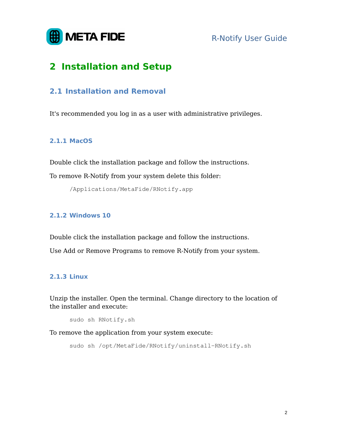

# **2 Installation and Setup**

### **2.1 Installation and Removal**

It's recommended you log in as a user with administrative privileges.

#### **2.1.1 MacOS**

Double click the installation package and follow the instructions.

To remove R-Notify from your system delete this folder:

/Applications/MetaFide/RNotify.app

#### **2.1.2 Windows 10**

Double click the installation package and follow the instructions.

Use Add or Remove Programs to remove R-Notify from your system.

#### **2.1.3 Linux**

Unzip the installer. Open the terminal. Change directory to the location of the installer and execute:

```
sudo sh RNotify.sh
```
To remove the application from your system execute:

sudo sh /opt/MetaFide/RNotify/uninstall-RNotify.sh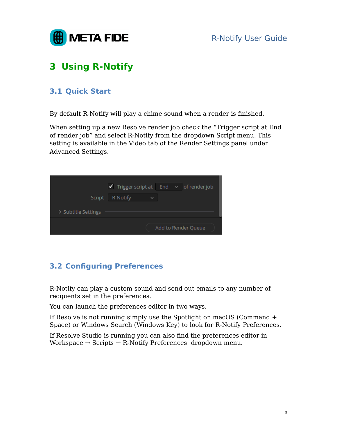

# **3 Using R-Notify**

### **3.1 Quick Start**

By default R-Notify will play a chime sound when a render is finished.

When setting up a new Resolve render job check the "Trigger script at End of render job" and select R-Notify from the dropdown Script menu. This setting is available in the Video tab of the Render Settings panel under Advanced Settings.

|                     |          | $\blacktriangleright$ Trigger script at End $\blacktriangleright$ of render job |
|---------------------|----------|---------------------------------------------------------------------------------|
| Script              | R-Notify | $\checkmark$                                                                    |
| > Subtitle Settings |          |                                                                                 |
|                     |          | Add to Render Queue                                                             |

## **3.2 Configuring Preferences**

R-Notify can play a custom sound and send out emails to any number of recipients set in the preferences.

You can launch the preferences editor in two ways.

If Resolve is not running simply use the Spotlight on macOS (Command + Space) or Windows Search (Windows Key) to look for R-Notify Preferences.

If Resolve Studio is running you can also find the preferences editor in Workspace  $\rightarrow$  Scripts  $\rightarrow$  R-Notify Preferences dropdown menu.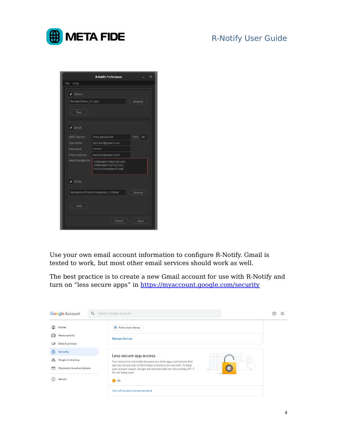

|                             | <b>R-Notify Preferences</b><br>×                                           |          |  |  |  |  |  |
|-----------------------------|----------------------------------------------------------------------------|----------|--|--|--|--|--|
| File<br>Help                |                                                                            |          |  |  |  |  |  |
| $\blacktriangleright$ Chime |                                                                            |          |  |  |  |  |  |
|                             | RenderChime_01.mp3<br><b>Browse</b>                                        |          |  |  |  |  |  |
| Test                        |                                                                            |          |  |  |  |  |  |
| $\blacktriangleright$ Email |                                                                            |          |  |  |  |  |  |
| <b>SMTP Server</b>          | smtp.gmail.com                                                             | Port 587 |  |  |  |  |  |
| Username                    | MyEmail@gmail.com                                                          |          |  |  |  |  |  |
| Password                    |                                                                            |          |  |  |  |  |  |
| <b>From Address</b>         | MyEmail@gmail.com                                                          |          |  |  |  |  |  |
| <b>Email Recipients</b>     | 1stRecipient@gmail.com,<br>2ndRecipientgmail.com,<br>3rdRecipientgmail.com |          |  |  |  |  |  |
| $\blacktriangledown$ HTML   |                                                                            |          |  |  |  |  |  |
|                             | RenderNotificationTemplate_01.html<br><b>Browse</b>                        |          |  |  |  |  |  |
| Test                        |                                                                            |          |  |  |  |  |  |
|                             | Cancel                                                                     | Save     |  |  |  |  |  |

Use your own email account information to configure R-Notify. Gmail is tested to work, but most other email services should work as well.

The best practice is to create a new Gmail account for use with R-Notify and turn on "less secure apps" in https://myaccount.google.com/security

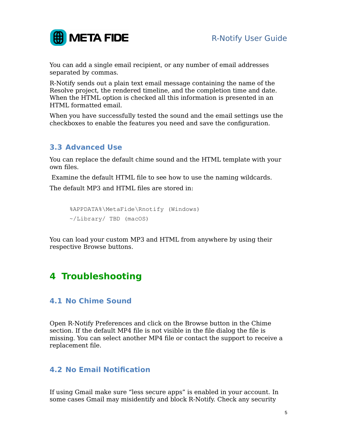

You can add a single email recipient, or any number of email addresses separated by commas.

R-Notify sends out a plain text email message containing the name of the Resolve project, the rendered timeline, and the completion time and date. When the HTML option is checked all this information is presented in an HTML formatted email.

When you have successfully tested the sound and the email settings use the checkboxes to enable the features you need and save the configuration.

### **3.3 Advanced Use**

You can replace the default chime sound and the HTML template with your own files.

Examine the default HTML file to see how to use the naming wildcards.

The default MP3 and HTML files are stored in:

```
%APPDATA%\MetaFide\Rnotify (Windows)
~/Library/ TBD (macOS)
```
You can load your custom MP3 and HTML from anywhere by using their respective Browse buttons.

# **4 Troubleshooting**

### **4.1 No Chime Sound**

Open R-Notify Preferences and click on the Browse button in the Chime section. If the default MP4 file is not visible in the file dialog the file is missing. You can select another MP4 file or contact the support to receive a replacement file.

### **4.2 No Email Notification**

If using Gmail make sure "less secure apps" is enabled in your account. In some cases Gmail may misidentify and block R-Notify. Check any security